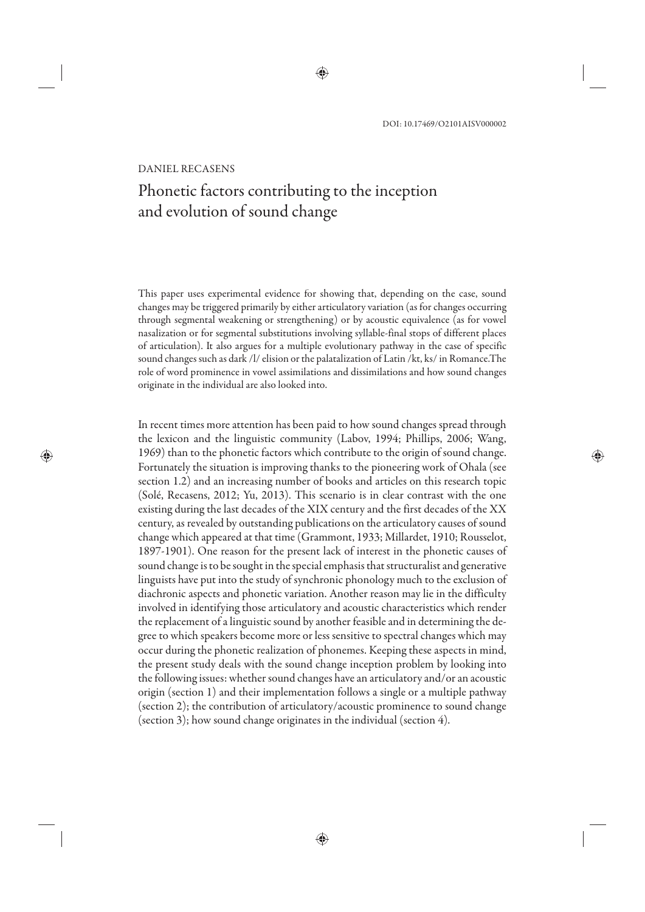#### DANIEL RECASENS

# Phonetic factors contributing to the inception and evolution of sound change

This paper uses experimental evidence for showing that, depending on the case, sound changes may be triggered primarily by either articulatory variation (as for changes occurring through segmental weakening or strengthening) or by acoustic equivalence (as for vowel nasalization or for segmental substitutions involving syllable-final stops of different places of articulation). It also argues for a multiple evolutionary pathway in the case of specific sound changes such as dark /l/ elision or the palatalization of Latin /kt, ks/ in Romance.The role of word prominence in vowel assimilations and dissimilations and how sound changes originate in the individual are also looked into.

In recent times more attention has been paid to how sound changes spread through the lexicon and the linguistic community (Labov, 1994; Phillips, 2006; Wang, 1969) than to the phonetic factors which contribute to the origin of sound change. Fortunately the situation is improving thanks to the pioneering work of Ohala (see section 1.2) and an increasing number of books and articles on this research topic (Solé, Recasens, 2012; Yu, 2013). This scenario is in clear contrast with the one existing during the last decades of the XIX century and the first decades of the XX century, as revealed by outstanding publications on the articulatory causes of sound change which appeared at that time (Grammont, 1933; Millardet, 1910; Rousselot, 1897-1901). One reason for the present lack of interest in the phonetic causes of sound change is to be sought in the special emphasis that structuralist and generative linguists have put into the study of synchronic phonology much to the exclusion of diachronic aspects and phonetic variation. Another reason may lie in the difficulty involved in identifying those articulatory and acoustic characteristics which render the replacement of a linguistic sound by another feasible and in determining the degree to which speakers become more or less sensitive to spectral changes which may occur during the phonetic realization of phonemes. Keeping these aspects in mind, the present study deals with the sound change inception problem by looking into the following issues: whether sound changes have an articulatory and/or an acoustic origin (section 1) and their implementation follows a single or a multiple pathway (section 2); the contribution of articulatory/acoustic prominence to sound change (section 3); how sound change originates in the individual (section 4).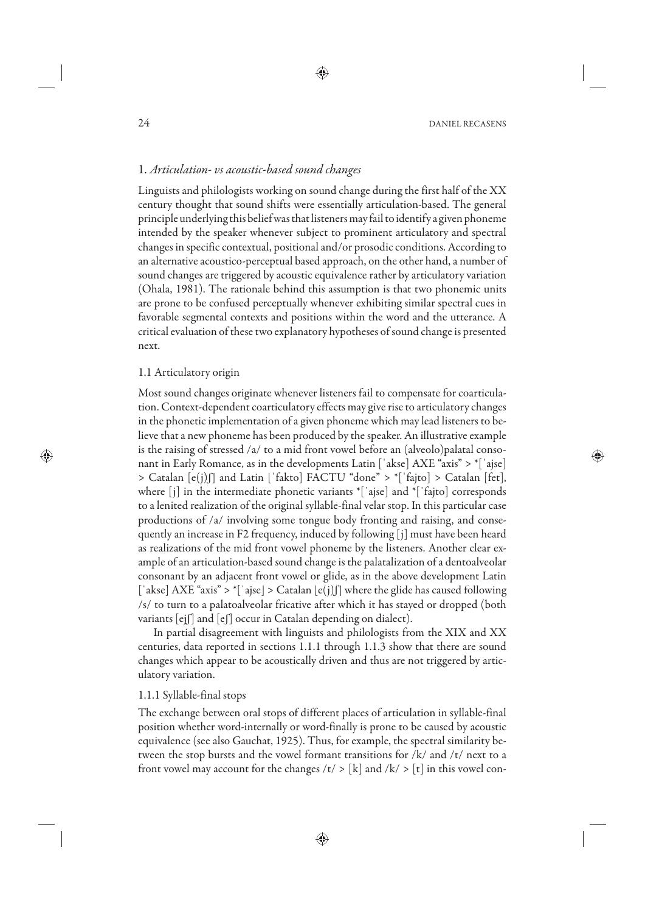# 1. *Articulation- vs acoustic-based sound changes*

Linguists and philologists working on sound change during the first half of the XX century thought that sound shifts were essentially articulation-based. The general principle underlying this belief was that listeners may fail to identify a given phoneme intended by the speaker whenever subject to prominent articulatory and spectral changes in specific contextual, positional and/or prosodic conditions. According to an alternative acoustico-perceptual based approach, on the other hand, a number of sound changes are triggered by acoustic equivalence rather by articulatory variation (Ohala, 1981). The rationale behind this assumption is that two phonemic units are prone to be confused perceptually whenever exhibiting similar spectral cues in favorable segmental contexts and positions within the word and the utterance. A critical evaluation of these two explanatory hypotheses of sound change is presented next.

## 1.1 Articulatory origin

Most sound changes originate whenever listeners fail to compensate for coarticulation. Context-dependent coarticulatory effects may give rise to articulatory changes in the phonetic implementation of a given phoneme which may lead listeners to believe that a new phoneme has been produced by the speaker. An illustrative example is the raising of stressed /a/ to a mid front vowel before an (alveolo)palatal consonant in Early Romance, as in the developments Latin  $\lceil \cdot \text{akse} \rceil$  AXE "axis"  $> \lceil \cdot \rceil$  ajse] > Catalan [e(j)ʃ] and Latin [ˈfakto] FACTU "done" > \*[ˈfajto] > Catalan [fet], where [j] in the intermediate phonetic variants \*[ˈajse] and \*[ˈfajto] corresponds to a lenited realization of the original syllable-final velar stop. In this particular case productions of /a/ involving some tongue body fronting and raising, and consequently an increase in F2 frequency, induced by following [j] must have been heard as realizations of the mid front vowel phoneme by the listeners. Another clear example of an articulation-based sound change is the palatalization of a dentoalveolar consonant by an adjacent front vowel or glide, as in the above development Latin ['akse] AXE "axis" >  $\vert$ 'ajse] > Catalan [e(j)[] where the glide has caused following /s/ to turn to a palatoalveolar fricative after which it has stayed or dropped (both variants [ejʃ] and [eʃ] occur in Catalan depending on dialect).

In partial disagreement with linguists and philologists from the XIX and XX centuries, data reported in sections 1.1.1 through 1.1.3 show that there are sound changes which appear to be acoustically driven and thus are not triggered by articulatory variation.

# 1.1.1 Syllable-final stops

The exchange between oral stops of different places of articulation in syllable-final position whether word-internally or word-finally is prone to be caused by acoustic equivalence (see also Gauchat, 1925). Thus, for example, the spectral similarity between the stop bursts and the vowel formant transitions for /k/ and /t/ next to a front vowel may account for the changes  $/t$  >  $[k]$  and  $/k$  >  $[t]$  in this vowel con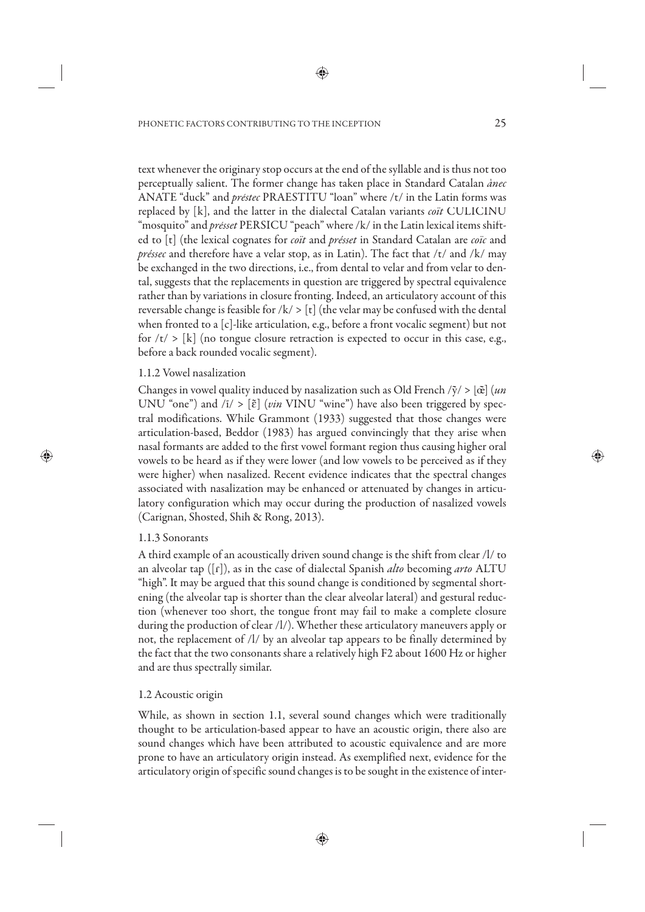text whenever the originary stop occurs at the end of the syllable and is thus not too perceptually salient. The former change has taken place in Standard Catalan *ànec* ANATE "duck" and *préstec* PRAESTITU "loan" where /t/ in the Latin forms was replaced by [k], and the latter in the dialectal Catalan variants *coït* CULICINU "mosquito" and *présset* PERSICU "peach" where /k/ in the Latin lexical items shifted to [t] (the lexical cognates for *coït* and *présset* in Standard Catalan are *coïc* and *préssec* and therefore have a velar stop, as in Latin). The fact that /t/ and /k/ may be exchanged in the two directions, i.e., from dental to velar and from velar to dental, suggests that the replacements in question are triggered by spectral equivalence rather than by variations in closure fronting. Indeed, an articulatory account of this reversable change is feasible for  $/k$  > [t] (the velar may be confused with the dental when fronted to a [c]-like articulation, e.g., before a front vocalic segment) but not for  $\langle t \rangle$  > [k] (no tongue closure retraction is expected to occur in this case, e.g., before a back rounded vocalic segment).

# 1.1.2 Vowel nasalization

Changes in vowel quality induced by nasalization such as Old French  $\sqrt{\tilde{y}}$  >  $[\tilde{\alpha}]$  (*un* UNU "one") and /ī/ > [ɛ̃] (*vin* VINU "wine") have also been triggered by spectral modifications. While Grammont (1933) suggested that those changes were articulation-based, Beddor (1983) has argued convincingly that they arise when nasal formants are added to the first vowel formant region thus causing higher oral vowels to be heard as if they were lower (and low vowels to be perceived as if they were higher) when nasalized. Recent evidence indicates that the spectral changes associated with nasalization may be enhanced or attenuated by changes in articulatory configuration which may occur during the production of nasalized vowels (Carignan, Shosted, Shih & Rong, 2013).

# 1.1.3 Sonorants

A third example of an acoustically driven sound change is the shift from clear /l/ to an alveolar tap ([ɾ]), as in the case of dialectal Spanish *alto* becoming *arto* ALTU "high". It may be argued that this sound change is conditioned by segmental shortening (the alveolar tap is shorter than the clear alveolar lateral) and gestural reduction (whenever too short, the tongue front may fail to make a complete closure during the production of clear /l/). Whether these articulatory maneuvers apply or not, the replacement of /l/ by an alveolar tap appears to be finally determined by the fact that the two consonants share a relatively high F2 about 1600 Hz or higher and are thus spectrally similar.

# 1.2 Acoustic origin

While, as shown in section 1.1, several sound changes which were traditionally thought to be articulation-based appear to have an acoustic origin, there also are sound changes which have been attributed to acoustic equivalence and are more prone to have an articulatory origin instead. As exemplified next, evidence for the articulatory origin of specific sound changes is to be sought in the existence of inter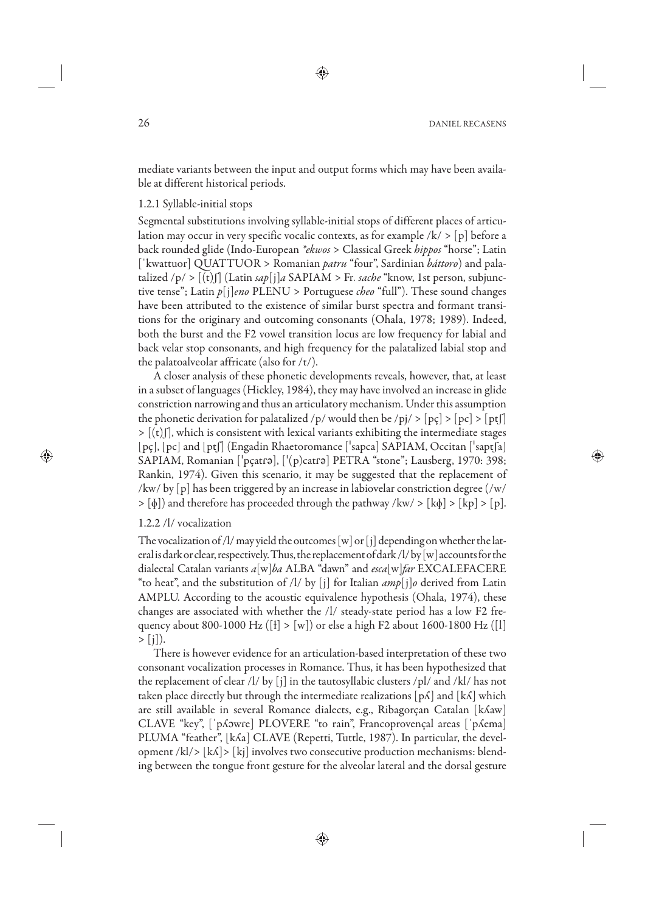mediate variants between the input and output forms which may have been available at different historical periods.

#### 1.2.1 Syllable-initial stops

Segmental substitutions involving syllable-initial stops of different places of articulation may occur in very specific vocalic contexts, as for example  $/k$  > [p] before a back rounded glide (Indo-European *\*ekwos* > Classical Greek *hippos* "horse"; Latin [ˈkwattuor] QUATTUOR > Romanian *patru* "four", Sardinian *báttoro*) and palatalized /p/ >  $[(t)]$  (Latin *sap* $[i]$ *a* SAPIAM > Fr. *sache* "know, 1st person, subjunctive tense"; Latin *p*[j]*eno* PLENU > Portuguese *cheo* "full"). These sound changes have been attributed to the existence of similar burst spectra and formant transitions for the originary and outcoming consonants (Ohala, 1978; 1989). Indeed, both the burst and the F2 vowel transition locus are low frequency for labial and back velar stop consonants, and high frequency for the palatalized labial stop and the palatoalveolar affricate (also for /t/).

A closer analysis of these phonetic developments reveals, however, that, at least in a subset of languages (Hickley, 1984), they may have involved an increase in glide constriction narrowing and thus an articulatory mechanism. Under this assumption the phonetic derivation for palatalized /p/ would then be /pj/ > [pc] > [pc] > [ptf]  $>$   $[(t)$  $]$ , which is consistent with lexical variants exhibiting the intermediate stages  $[p\mathfrak{c}]$ ,  $[p\mathfrak{c}]$  and  $[p\mathfrak{t}]$  (Engadin Rhaetoromance ['sapca] SAPIAM, Occitan ['sapt $[a]$ ] SAPIAM, Romanian  $\lceil \cdot \frac{\rho_{\text{catr9}}}{\rho_{\text{catr9}}} \rceil$  PETRA "stone"; Lausberg, 1970: 398; Rankin, 1974). Given this scenario, it may be suggested that the replacement of  $\frac{1}{\sqrt{w}}$  by [p] has been triggered by an increase in labiovelar constriction degree (/w/  $> [\phi]$ ) and therefore has proceeded through the pathway /kw/  $> [k\phi]$   $> [kp]$   $> [p]$ .

### 1.2.2 /l/ vocalization

The vocalization of /l/ may yield the outcomes [w] or [j] depending on whether the lateral is dark or clear, respectively. Thus, the replacement of dark /l/ by [w] accounts for the dialectal Catalan variants *a*[w]*ba* ALBA "dawn" and *esca*[w]*far* EXCALEFACERE "to heat", and the substitution of /l/ by [j] for Italian *amp*[j]*o* derived from Latin AMPLU. According to the acoustic equivalence hypothesis (Ohala, 1974), these changes are associated with whether the /l/ steady-state period has a low F2 frequency about 800-1000 Hz ([ł] > [w]) or else a high F2 about 1600-1800 Hz ([l]  $> [i]$ ).

There is however evidence for an articulation-based interpretation of these two consonant vocalization processes in Romance. Thus, it has been hypothesized that the replacement of clear /l/ by  $[i]$  in the tautosyllabic clusters /pl/ and /kl/ has not taken place directly but through the intermediate realizations [pʎ] and [kʎ] which are still available in several Romance dialects, e.g., Ribagorçan Catalan [kʎaw] CLAVE "key", [ˈpʎɔwɾe] PLOVERE "to rain", Francoprovençal areas [ˈpʎema] PLUMA "feather", [kʎa] CLAVE (Repetti, Tuttle, 1987). In particular, the development /kl/> [kʎ]> [kj] involves two consecutive production mechanisms: blending between the tongue front gesture for the alveolar lateral and the dorsal gesture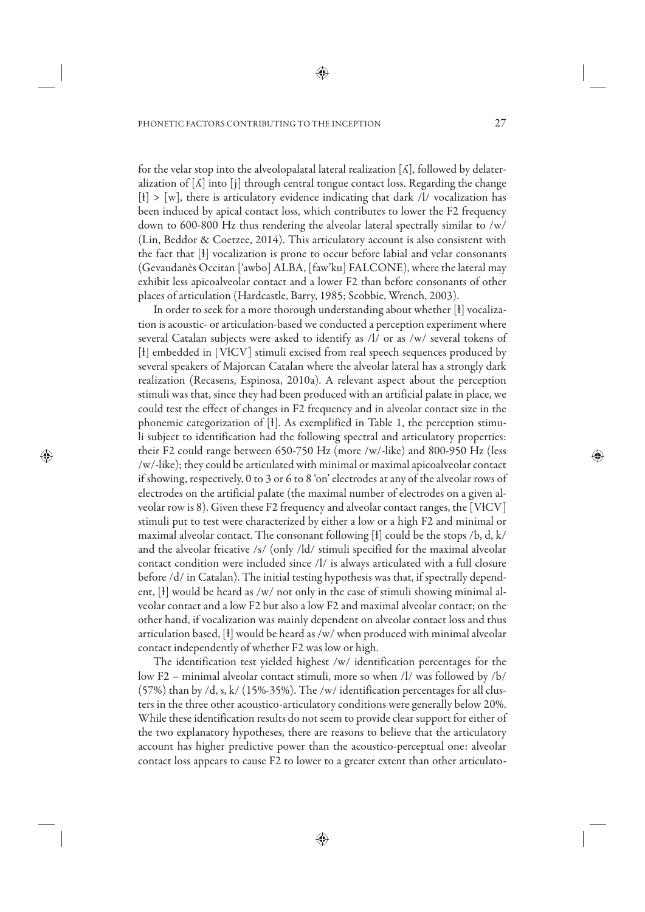for the velar stop into the alveolopalatal lateral realization  $[\Lambda]$ , followed by delateralization of  $[\Lambda]$  into  $[i]$  through central tongue contact loss. Regarding the change  $[t] > [w]$ , there is articulatory evidence indicating that dark /l/ vocalization has been induced by apical contact loss, which contributes to lower the F2 frequency down to 600-800 Hz thus rendering the alveolar lateral spectrally similar to /w/ (Lin, Beddor & Coetzee, 2014). This articulatory account is also consistent with the fact that [ɫ] vocalization is prone to occur before labial and velar consonants (Gevaudanès Occitan ['awbo] ALBA, [faw'ku] FALCONE), where the lateral may exhibit less apicoalveolar contact and a lower F2 than before consonants of other places of articulation (Hardcastle, Barry, 1985; Scobbie, Wrench, 2003).

In order to seek for a more thorough understanding about whether [ɫ] vocalization is acoustic- or articulation-based we conducted a perception experiment where several Catalan subjects were asked to identify as /l/ or as /w/ several tokens of [ł] embedded in [VłCV] stimuli excised from real speech sequences produced by several speakers of Majorcan Catalan where the alveolar lateral has a strongly dark realization (Recasens, Espinosa, 2010a). A relevant aspect about the perception stimuli was that, since they had been produced with an artificial palate in place, we could test the effect of changes in F2 frequency and in alveolar contact size in the phonemic categorization of [ɫ]. As exemplified in Table 1, the perception stimuli subject to identification had the following spectral and articulatory properties: their F2 could range between 650-750 Hz (more /w/-like) and 800-950 Hz (less /w/-like); they could be articulated with minimal or maximal apicoalveolar contact if showing, respectively, 0 to 3 or 6 to 8 'on' electrodes at any of the alveolar rows of electrodes on the artificial palate (the maximal number of electrodes on a given alveolar row is 8). Given these F2 frequency and alveolar contact ranges, the [VɫCV] stimuli put to test were characterized by either a low or a high F2 and minimal or maximal alveolar contact. The consonant following  $\lbrack 1 \rbrack$  could be the stops /b, d, k/ and the alveolar fricative /s/ (only /ld/ stimuli specified for the maximal alveolar contact condition were included since /l/ is always articulated with a full closure before /d/ in Catalan). The initial testing hypothesis was that, if spectrally dependent, [ɫ] would be heard as /w/ not only in the case of stimuli showing minimal alveolar contact and a low F2 but also a low F2 and maximal alveolar contact; on the other hand, if vocalization was mainly dependent on alveolar contact loss and thus articulation based, [ɫ] would be heard as /w/ when produced with minimal alveolar contact independently of whether F2 was low or high.

The identification test yielded highest /w/ identification percentages for the low F2 – minimal alveolar contact stimuli, more so when /l/ was followed by /b/ (57%) than by /d, s, k/ (15%-35%). The /w/ identification percentages for all clusters in the three other acoustico-articulatory conditions were generally below 20%. While these identification results do not seem to provide clear support for either of the two explanatory hypotheses, there are reasons to believe that the articulatory account has higher predictive power than the acoustico-perceptual one: alveolar contact loss appears to cause F2 to lower to a greater extent than other articulato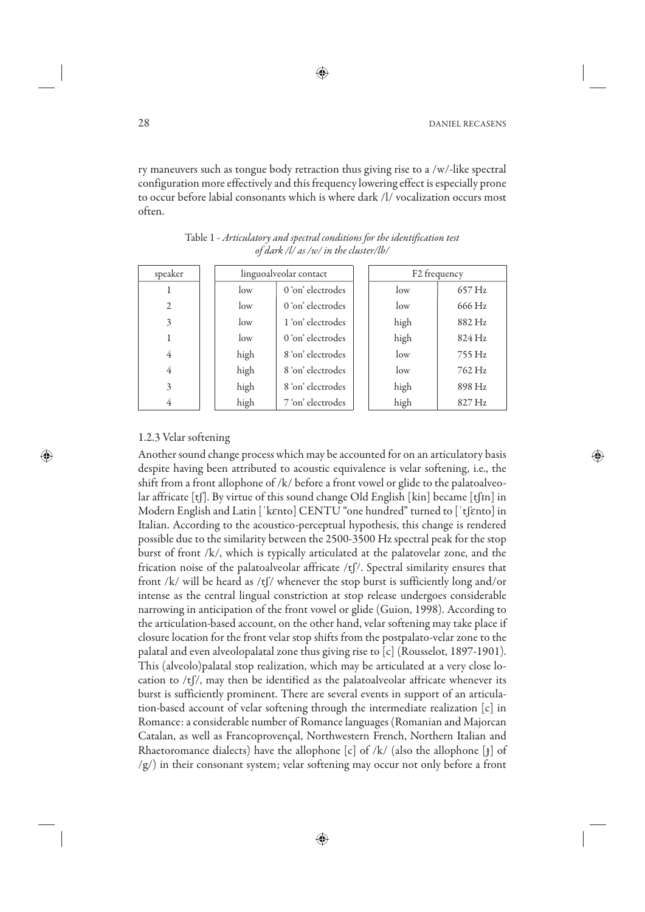ry maneuvers such as tongue body retraction thus giving rise to a /w/-like spectral configuration more effectively and this frequency lowering effect is especially prone to occur before labial consonants which is where dark /l/ vocalization occurs most often.

| speaker        |      | linguoalveolar contact |  | F <sub>2</sub> frequency |        |
|----------------|------|------------------------|--|--------------------------|--------|
|                | low  | 0'on' electrodes       |  | low                      | 657 Hz |
| $\overline{2}$ | low  | 0 'on' electrodes      |  | low                      | 666 Hz |
| 3              | low  | 1 'on' electrodes      |  | high                     | 882 Hz |
|                | low  | 0 'on' electrodes      |  | high                     | 824 Hz |
| 4              | high | 8 'on' electrodes      |  | low                      | 755 Hz |
| 4              | high | 8 'on' electrodes      |  | $\log$                   | 762 Hz |
| 3              | high | 8 'on' electrodes      |  | high                     | 898 Hz |
| 4              | high | 7'on' electrodes       |  | high                     | 827 Hz |

Table 1 - *Articulatory and spectral conditions for the identification test of dark /l/ as /w/ in the cluster/lb/*

# 1.2.3 Velar softening

Another sound change process which may be accounted for on an articulatory basis despite having been attributed to acoustic equivalence is velar softening, i.e., the shift from a front allophone of /k/ before a front vowel or glide to the palatoalveolar affricate [tʃ]. By virtue of this sound change Old English [kin] became [tʃɪn] in Modern English and Latin [ˈkɛnto] CENTU "one hundred" turned to [ˈtʃɛnto] in Italian. According to the acoustico-perceptual hypothesis, this change is rendered possible due to the similarity between the 2500-3500 Hz spectral peak for the stop burst of front /k/, which is typically articulated at the palatovelar zone, and the frication noise of the palatoalveolar affricate  $/t$  [ $\ell$ ]. Spectral similarity ensures that front /k/ will be heard as /tf/ whenever the stop burst is sufficiently long and/or intense as the central lingual constriction at stop release undergoes considerable narrowing in anticipation of the front vowel or glide (Guion, 1998). According to the articulation-based account, on the other hand, velar softening may take place if closure location for the front velar stop shifts from the postpalato-velar zone to the palatal and even alveolopalatal zone thus giving rise to [c] (Rousselot, 1897-1901). This (alveolo)palatal stop realization, which may be articulated at a very close location to  $/t$   $\frac{f}{f}$ , may then be identified as the palatoalveolar affricate whenever its burst is sufficiently prominent. There are several events in support of an articulation-based account of velar softening through the intermediate realization [c] in Romance: a considerable number of Romance languages (Romanian and Majorcan Catalan, as well as Francoprovençal, Northwestern French, Northern Italian and Rhaetoromance dialects) have the allophone [c] of /k/ (also the allophone [j] of  $\langle g \rangle$  in their consonant system; velar softening may occur not only before a front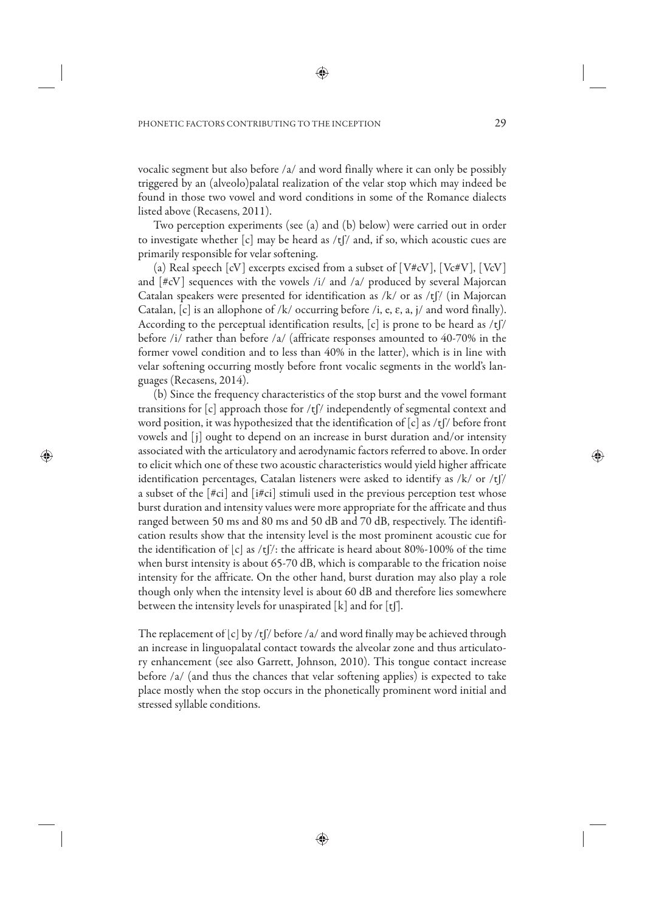vocalic segment but also before /a/ and word finally where it can only be possibly triggered by an (alveolo)palatal realization of the velar stop which may indeed be found in those two vowel and word conditions in some of the Romance dialects listed above (Recasens, 2011).

Two perception experiments (see (a) and (b) below) were carried out in order to investigate whether  $[c]$  may be heard as /t $\int$ / and, if so, which acoustic cues are primarily responsible for velar softening.

(a) Real speech  $\lceil cV \rceil$  excerpts excised from a subset of  $\lceil V \# cV \rceil$ ,  $\lceil V \ c \# V \rceil$ ,  $\lceil V \ cV \rceil$ and [#cV] sequences with the vowels /i/ and /a/ produced by several Majorcan Catalan speakers were presented for identification as /k/ or as /tf/ (in Majorcan Catalan,  $[c]$  is an allophone of /k/ occurring before /i, e,  $\varepsilon$ , a, j/ and word finally). According to the perceptual identification results,  $[c]$  is prone to be heard as /t $\int$ / before /i/ rather than before /a/ (affricate responses amounted to 40-70% in the former vowel condition and to less than 40% in the latter), which is in line with velar softening occurring mostly before front vocalic segments in the world's languages (Recasens, 2014).

(b) Since the frequency characteristics of the stop burst and the vowel formant transitions for  $[c]$  approach those for /t $\int$ / independently of segmental context and word position, it was hypothesized that the identification of  $[c]$  as /t $\int$ / before front vowels and [j] ought to depend on an increase in burst duration and/or intensity associated with the articulatory and aerodynamic factors referred to above. In order to elicit which one of these two acoustic characteristics would yield higher affricate identification percentages, Catalan listeners were asked to identify as /k/ or /tʃ/ a subset of the [#ci] and [i#ci] stimuli used in the previous perception test whose burst duration and intensity values were more appropriate for the affricate and thus ranged between 50 ms and 80 ms and 50 dB and 70 dB, respectively. The identification results show that the intensity level is the most prominent acoustic cue for the identification of  $[c]$  as  $/t$   $/t$ : the affricate is heard about 80%-100% of the time when burst intensity is about 65-70 dB, which is comparable to the frication noise intensity for the affricate. On the other hand, burst duration may also play a role though only when the intensity level is about 60 dB and therefore lies somewhere between the intensity levels for unaspirated  $[k]$  and for  $[t]$ .

The replacement of  $[c]$  by /t $\int$ / before /a/ and word finally may be achieved through an increase in linguopalatal contact towards the alveolar zone and thus articulatory enhancement (see also Garrett, Johnson, 2010). This tongue contact increase before /a/ (and thus the chances that velar softening applies) is expected to take place mostly when the stop occurs in the phonetically prominent word initial and stressed syllable conditions.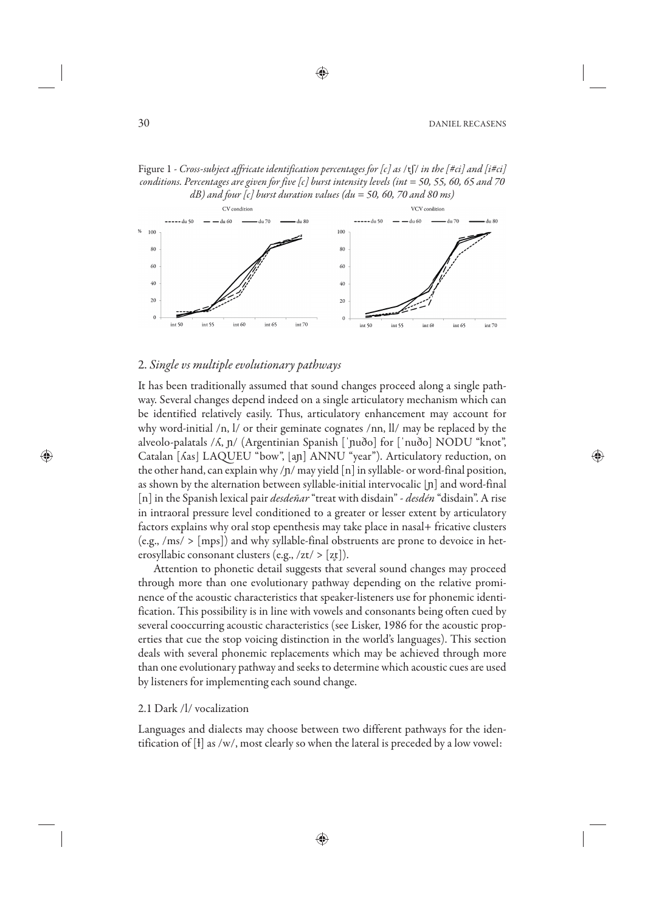



## 2. *Single vs multiple evolutionary pathways*

It has been traditionally assumed that sound changes proceed along a single pathway. Several changes depend indeed on a single articulatory mechanism which can be identified relatively easily. Thus, articulatory enhancement may account for why word-initial /n, l/ or their geminate cognates /nn, ll/ may be replaced by the alveolo-palatals /ʎ, ɲ/ (Argentinian Spanish [ˈɲuðo] for [ˈnuðo] NODU "knot", Catalan [ʎas] LAQUEU "bow", [aɲ] ANNU "year"). Articulatory reduction, on the other hand, can explain why  $/p/m$ ay yield  $[n]$  in syllable- or word-final position, as shown by the alternation between syllable-initial intervocalic [ɲ] and word-final [n] in the Spanish lexical pair *desdeñar* "treat with disdain" - *desdén* "disdain". A rise in intraoral pressure level conditioned to a greater or lesser extent by articulatory factors explains why oral stop epenthesis may take place in nasal+ fricative clusters  $(e.g., /ms/>(ms))$  and why syllable-final obstruents are prone to devoice in heterosyllabic consonant clusters (e.g.,  $\langle zt \rangle > [z \overline{t}]$ ).

Attention to phonetic detail suggests that several sound changes may proceed through more than one evolutionary pathway depending on the relative prominence of the acoustic characteristics that speaker-listeners use for phonemic identification. This possibility is in line with vowels and consonants being often cued by several cooccurring acoustic characteristics (see Lisker, 1986 for the acoustic properties that cue the stop voicing distinction in the world's languages). This section deals with several phonemic replacements which may be achieved through more than one evolutionary pathway and seeks to determine which acoustic cues are used by listeners for implementing each sound change.

#### 2.1 Dark /l/ vocalization

Languages and dialects may choose between two different pathways for the identification of [ɫ] as /w/, most clearly so when the lateral is preceded by a low vowel: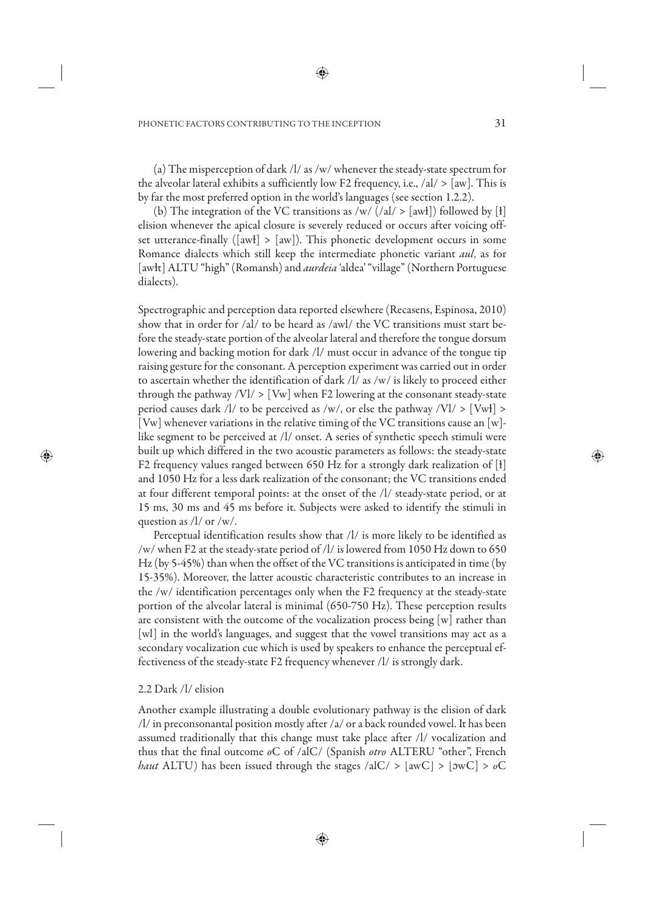(a) The misperception of dark /l/ as /w/ whenever the steady-state spectrum for the alveolar lateral exhibits a sufficiently low F2 frequency, i.e.,  $\langle aI \rangle > |aw|$ . This is by far the most preferred option in the world's languages (see section 1.2.2).

(b) The integration of the VC transitions as /w/  $(|a| > |awt|)$  followed by [ł] elision whenever the apical closure is severely reduced or occurs after voicing offset utterance-finally ( $[awł] > [aw]$ ). This phonetic development occurs in some Romance dialects which still keep the intermediate phonetic variant *aul*, as for [awɫt] ALTU "high" (Romansh) and *aurdeia* 'aldea' "village" (Northern Portuguese dialects).

Spectrographic and perception data reported elsewhere (Recasens, Espinosa, 2010) show that in order for /al/ to be heard as /awl/ the VC transitions must start before the steady-state portion of the alveolar lateral and therefore the tongue dorsum lowering and backing motion for dark /l/ must occur in advance of the tongue tip raising gesture for the consonant. A perception experiment was carried out in order to ascertain whether the identification of dark /l/ as /w/ is likely to proceed either through the pathway  $|V| > |Vw|$  when F2 lowering at the consonant steady-state period causes dark /l/ to be perceived as /w/, or else the pathway /Vl/  $>$  [Vwł]  $>$ [Vw] whenever variations in the relative timing of the VC transitions cause an [w] like segment to be perceived at /l/ onset. A series of synthetic speech stimuli were built up which differed in the two acoustic parameters as follows: the steady-state F2 frequency values ranged between 650 Hz for a strongly dark realization of [ɫ] and 1050 Hz for a less dark realization of the consonant; the VC transitions ended at four different temporal points: at the onset of the /l/ steady-state period, or at 15 ms, 30 ms and 45 ms before it. Subjects were asked to identify the stimuli in question as /l/ or /w/.

Perceptual identification results show that /l/ is more likely to be identified as /w/ when F2 at the steady-state period of /l/ is lowered from 1050 Hz down to 650 Hz (by 5-45%) than when the offset of the VC transitions is anticipated in time (by 15-35%). Moreover, the latter acoustic characteristic contributes to an increase in the /w/ identification percentages only when the F2 frequency at the steady-state portion of the alveolar lateral is minimal (650-750 Hz). These perception results are consistent with the outcome of the vocalization process being [w] rather than [wl] in the world's languages, and suggest that the vowel transitions may act as a secondary vocalization cue which is used by speakers to enhance the perceptual effectiveness of the steady-state F2 frequency whenever /l/ is strongly dark.

#### 2.2 Dark /l/ elision

Another example illustrating a double evolutionary pathway is the elision of dark /l/ in preconsonantal position mostly after /a/ or a back rounded vowel. It has been assumed traditionally that this change must take place after /l/ vocalization and thus that the final outcome *o*C of /alC/ (Spanish *otro* ALTERU "other", French *haut* ALTU) has been issued through the stages /alC/  $>$  [awC]  $>$  [ $\text{owC}$ ]  $>$   $\text{}_{\text{oC}}$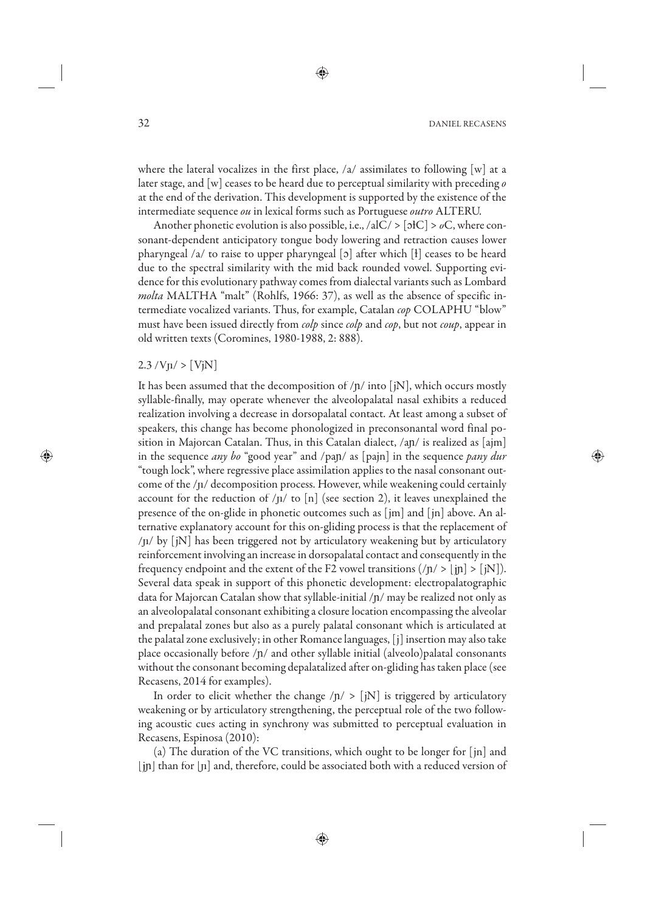where the lateral vocalizes in the first place, /a/ assimilates to following [w] at a later stage, and [w] ceases to be heard due to perceptual similarity with preceding *o* at the end of the derivation. This development is supported by the existence of the intermediate sequence *ou* in lexical forms such as Portuguese *outro* ALTERU.

Another phonetic evolution is also possible, i.e., /alC/ > [ɔɫC] > *o*C, where consonant-dependent anticipatory tongue body lowering and retraction causes lower pharyngeal /a/ to raise to upper pharyngeal [ɔ] after which [ɫ] ceases to be heard due to the spectral similarity with the mid back rounded vowel. Supporting evidence for this evolutionary pathway comes from dialectal variants such as Lombard *molta* MALTHA "malt" (Rohlfs, 1966: 37), as well as the absence of specific intermediate vocalized variants. Thus, for example, Catalan *cop* COLAPHU "blow" must have been issued directly from *colp* since *colp* and *cop*, but not *coup*, appear in old written texts (Coromines, 1980-1988, 2: 888).

#### $2.3 / Vp / > [VjN]$

It has been assumed that the decomposition of  $/n/$  into [iN], which occurs mostly syllable-finally, may operate whenever the alveolopalatal nasal exhibits a reduced realization involving a decrease in dorsopalatal contact. At least among a subset of speakers, this change has become phonologized in preconsonantal word final position in Majorcan Catalan. Thus, in this Catalan dialect, /aɲ/ is realized as [ajm] in the sequence *any bo* "good year" and /paɲ/ as [pajn] in the sequence *pany dur* "tough lock", where regressive place assimilation applies to the nasal consonant outcome of the /ɲ/ decomposition process. However, while weakening could certainly account for the reduction of  $/p/$  to  $[n]$  (see section 2), it leaves unexplained the presence of the on-glide in phonetic outcomes such as [jm] and [jn] above. An alternative explanatory account for this on-gliding process is that the replacement of  $/p / by [jN]$  has been triggered not by articulatory weakening but by articulatory reinforcement involving an increase in dorsopalatal contact and consequently in the frequency endpoint and the extent of the F2 vowel transitions  $(|n| > |j\rangle |$ . Several data speak in support of this phonetic development: electropalatographic data for Majorcan Catalan show that syllable-initial /ɲ/ may be realized not only as an alveolopalatal consonant exhibiting a closure location encompassing the alveolar and prepalatal zones but also as a purely palatal consonant which is articulated at the palatal zone exclusively; in other Romance languages, [j] insertion may also take place occasionally before  $/p/$  and other syllable initial (alveolo)palatal consonants without the consonant becoming depalatalized after on-gliding has taken place (see Recasens, 2014 for examples).

In order to elicit whether the change  $/n/$  > [iN] is triggered by articulatory weakening or by articulatory strengthening, the perceptual role of the two following acoustic cues acting in synchrony was submitted to perceptual evaluation in Recasens, Espinosa (2010):

(a) The duration of the VC transitions, which ought to be longer for [jn] and [jɲ] than for [ɲ] and, therefore, could be associated both with a reduced version of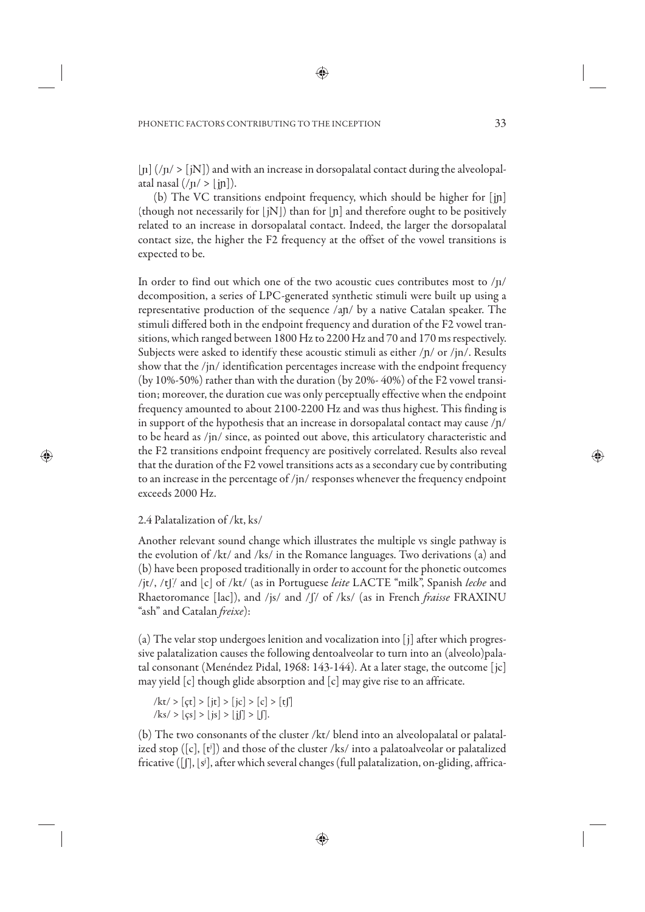$\lceil n \rceil$  (/ $\eta$ / >  $\lceil jN \rceil$ ) and with an increase in dorsopalatal contact during the alveolopalatal nasal  $(\frac{n}{$  > [in]).

(b) The VC transitions endpoint frequency, which should be higher for [jɲ] (though not necessarily for  $[iN]$ ) than for  $[n]$  and therefore ought to be positively related to an increase in dorsopalatal contact. Indeed, the larger the dorsopalatal contact size, the higher the F2 frequency at the offset of the vowel transitions is expected to be.

In order to find out which one of the two acoustic cues contributes most to /ɲ/ decomposition, a series of LPC-generated synthetic stimuli were built up using a representative production of the sequence /aɲ/ by a native Catalan speaker. The stimuli differed both in the endpoint frequency and duration of the F2 vowel transitions, which ranged between 1800 Hz to 2200 Hz and 70 and 170 ms respectively. Subjects were asked to identify these acoustic stimuli as either /n/ or /jn/. Results show that the /jn/ identification percentages increase with the endpoint frequency (by 10%-50%) rather than with the duration (by 20%- 40%) of the F2 vowel transition; moreover, the duration cue was only perceptually effective when the endpoint frequency amounted to about 2100-2200 Hz and was thus highest. This finding is in support of the hypothesis that an increase in dorsopalatal contact may cause  $/p/$ to be heard as /jn/ since, as pointed out above, this articulatory characteristic and the F2 transitions endpoint frequency are positively correlated. Results also reveal that the duration of the F2 vowel transitions acts as a secondary cue by contributing to an increase in the percentage of /jn/ responses whenever the frequency endpoint exceeds 2000 Hz.

# 2.4 Palatalization of /kt, ks/

Another relevant sound change which illustrates the multiple vs single pathway is the evolution of /kt/ and /ks/ in the Romance languages. Two derivations (a) and (b) have been proposed traditionally in order to account for the phonetic outcomes /jt/, /tʃ/ and [c] of /kt/ (as in Portuguese *leite* LACTE "milk", Spanish *leche* and Rhaetoromance [lac]), and /js/ and /ʃ/ of /ks/ (as in French *fraisse* FRAXINU "ash" and Catalan *freixe*):

(a) The velar stop undergoes lenition and vocalization into [j] after which progressive palatalization causes the following dentoalveolar to turn into an (alveolo)palatal consonant (Menéndez Pidal, 1968: 143-144). At a later stage, the outcome [jc] may yield [c] though glide absorption and [c] may give rise to an affricate.

$$
/kt \rangle \{ \mathbf{c} \mathbf{c} \} \rangle \{ \mathbf{c} \mathbf{c} \} \rangle \{ \mathbf{c} \} \rangle \{ \mathbf{c} \} \rangle \{ \mathbf{c} \} \rangle \{ \mathbf{c} \} \rangle \{ \mathbf{c} \} \rangle \{ \mathbf{c} \} \rangle \{ \mathbf{c} \} \rangle \{ \mathbf{c} \} \rangle \{ \mathbf{c} \} \rangle \{ \mathbf{c} \} \rangle \{ \mathbf{c} \} \rangle \{ \mathbf{c} \} \rangle \{ \mathbf{c} \} \rangle \{ \mathbf{c} \} \rangle \{ \mathbf{c} \} \rangle \{ \mathbf{c} \} \rangle \{ \mathbf{c} \} \rangle \{ \mathbf{c} \} \rangle \{ \mathbf{c} \} \rangle \{ \mathbf{c} \} \rangle \{ \mathbf{c} \} \rangle \{ \mathbf{c} \} \rangle \{ \mathbf{c} \} \rangle \rangle \langle \mathbf{c} \rangle \rangle \langle \mathbf{c} \rangle \rangle \langle \mathbf{c} \rangle \rangle \langle \mathbf{c} \rangle \rangle \langle \mathbf{c} \rangle \rangle \langle \mathbf{c} \rangle \rangle \langle \mathbf{c} \rangle \rangle \langle \mathbf{c} \rangle \rangle \langle \mathbf{c} \rangle \rangle \langle \mathbf{c} \rangle \rangle \langle \mathbf{c} \rangle \rangle \langle \mathbf{c} \rangle \rangle \langle \mathbf{c} \rangle \rangle \langle \mathbf{c} \rangle \rangle \langle \mathbf{c} \rangle \rangle \langle \mathbf{c} \rangle \rangle \langle \mathbf{c} \rangle \rangle \langle \mathbf{c} \rangle \rangle \langle \mathbf{c} \rangle \rangle \langle \mathbf{c} \rangle \rangle \langle \mathbf{c} \rangle \rangle \langle \mathbf{c} \rangle \rangle \langle \mathbf{c} \rangle \rangle \langle \mathbf{c} \rangle \rangle \langle \mathbf{c} \rangle \rangle \langle \mathbf{c} \rangle \rangle \langle \mathbf{c} \rangle \rangle \langle \mathbf{c} \rangle \rangle \langle \mathbf{c} \rangle \rangle \langle \mathbf{c} \rangle \rangle \langle \mathbf{c} \rangle \rangle \langle \mathbf{c} \rangle \rangle \langle \mathbf{c} \rangle \rangle \langle \mathbf{c} \rangle \rangle \langle \mathbf{c} \rangle \rangle \langle \mathbf{c} \rangle \rangle \langle \mathbf{c} \
$$

(b) The two consonants of the cluster /kt/ blend into an alveolopalatal or palatalized stop ([c], [t j ]) and those of the cluster /ks/ into a palatoalveolar or palatalized fricative ([ʃ], [sj ], after which several changes (full palatalization, on-gliding, affrica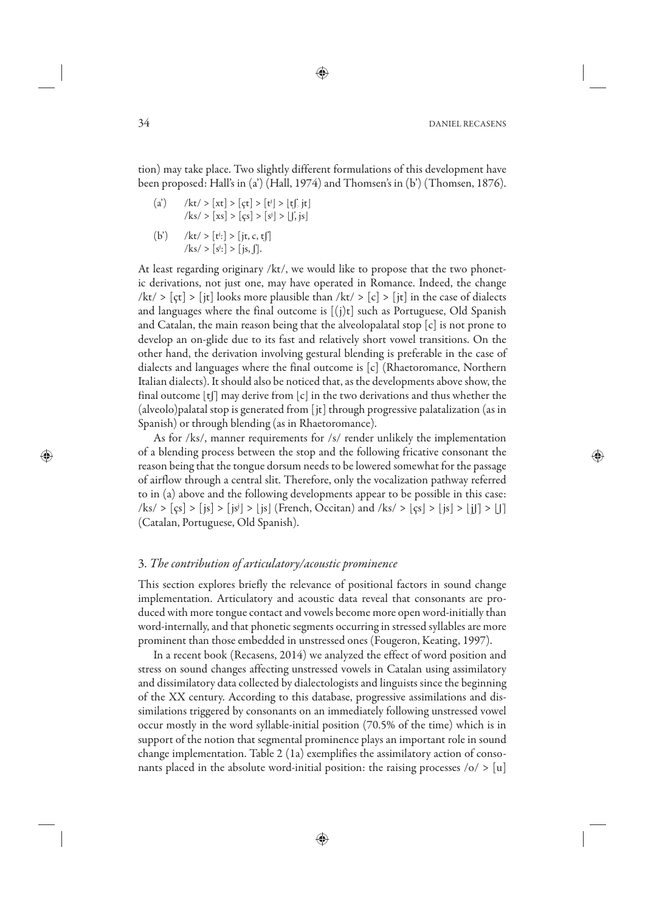tion) may take place. Two slightly different formulations of this development have been proposed: Hall's in (a') (Hall, 1974) and Thomsen's in (b') (Thomsen, 1876).

- (a')  $/kt$  > [xt] > [çt] > [t<sup>j</sup>] > [tʃ, jt]  $|k s| > [xs] > [gs] > [s^j] > [f, js]$
- (b')  $/kt$  > [t<sup>j</sup>:] > [jt, c, tʃ]  $/$ ks/ >  $[s^j$ :] > [js, f].

At least regarding originary /kt/, we would like to propose that the two phonetic derivations, not just one, may have operated in Romance. Indeed, the change  $/kt/$  >  $[ct]$  >  $[it]$  looks more plausible than  $/kt/$  >  $[c]$  >  $[it]$  in the case of dialects and languages where the final outcome is  $[(i)t]$  such as Portuguese, Old Spanish and Catalan, the main reason being that the alveolopalatal stop  $[c]$  is not prone to develop an on-glide due to its fast and relatively short vowel transitions. On the other hand, the derivation involving gestural blending is preferable in the case of dialects and languages where the final outcome is [c] (Rhaetoromance, Northern Italian dialects). It should also be noticed that, as the developments above show, the final outcome [tʃ] may derive from [c] in the two derivations and thus whether the (alveolo)palatal stop is generated from [jt] through progressive palatalization (as in Spanish) or through blending (as in Rhaetoromance).

As for /ks/, manner requirements for /s/ render unlikely the implementation of a blending process between the stop and the following fricative consonant the reason being that the tongue dorsum needs to be lowered somewhat for the passage of airflow through a central slit. Therefore, only the vocalization pathway referred to in (a) above and the following developments appear to be possible in this case: /ks/ > [çs] > [js] > [js] > [js] (French, Occitan) and /ks/ > [çs] > [js] > [j] > [ʃ] (Catalan, Portuguese, Old Spanish).

# 3. *The contribution of articulatory/acoustic prominence*

This section explores briefly the relevance of positional factors in sound change implementation. Articulatory and acoustic data reveal that consonants are produced with more tongue contact and vowels become more open word-initially than word-internally, and that phonetic segments occurring in stressed syllables are more prominent than those embedded in unstressed ones (Fougeron, Keating, 1997).

In a recent book (Recasens, 2014) we analyzed the effect of word position and stress on sound changes affecting unstressed vowels in Catalan using assimilatory and dissimilatory data collected by dialectologists and linguists since the beginning of the XX century. According to this database, progressive assimilations and dissimilations triggered by consonants on an immediately following unstressed vowel occur mostly in the word syllable-initial position (70.5% of the time) which is in support of the notion that segmental prominence plays an important role in sound change implementation. Table 2 (1a) exemplifies the assimilatory action of consonants placed in the absolute word-initial position: the raising processes  $\langle o \rangle$  > [u]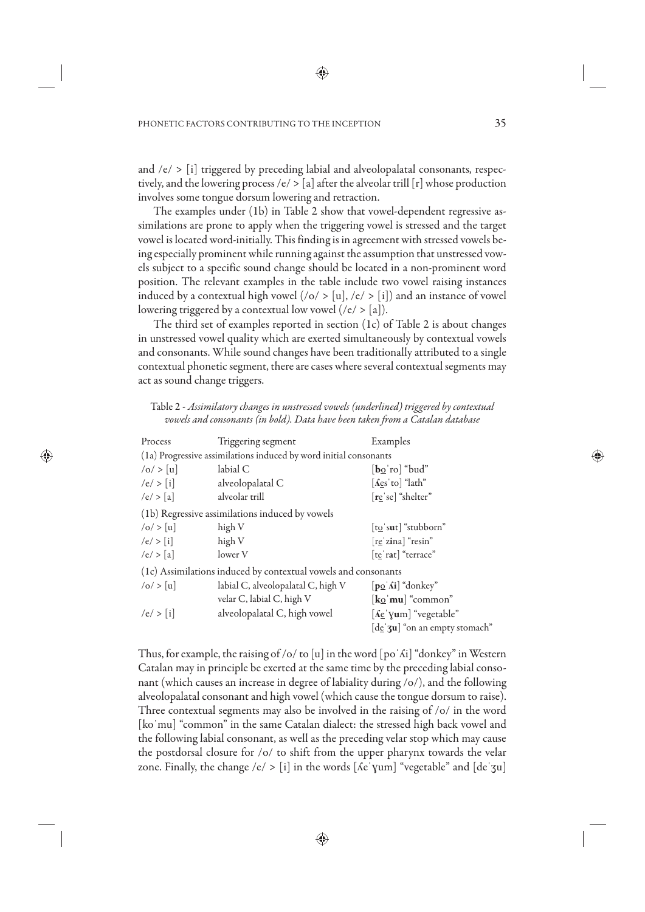and  $/e$  >  $[i]$  triggered by preceding labial and alveolopalatal consonants, respectively, and the lowering process /e/  $>$  [a] after the alveolar trill [r] whose production involves some tongue dorsum lowering and retraction.

The examples under (1b) in Table 2 show that vowel-dependent regressive assimilations are prone to apply when the triggering vowel is stressed and the target vowel is located word-initially. This finding is in agreement with stressed vowels being especially prominent while running against the assumption that unstressed vowels subject to a specific sound change should be located in a non-prominent word position. The relevant examples in the table include two vowel raising instances induced by a contextual high vowel  $($ /o/ > [u], /e/ > [i]) and an instance of vowel lowering triggered by a contextual low vowel  $(\sqrt{e} > [a])$ .

The third set of examples reported in section (1c) of Table 2 is about changes in unstressed vowel quality which are exerted simultaneously by contextual vowels and consonants. While sound changes have been traditionally attributed to a single contextual phonetic segment, there are cases where several contextual segments may act as sound change triggers.

Table 2 - *Assimilatory changes in unstressed vowels (underlined) triggered by contextual vowels and consonants (in bold). Data have been taken from a Catalan database*

| Process                                                        | Triggering segment                                                | Examples                                                                  |  |  |  |
|----------------------------------------------------------------|-------------------------------------------------------------------|---------------------------------------------------------------------------|--|--|--|
|                                                                | (1a) Progressive assimilations induced by word initial consonants |                                                                           |  |  |  |
| o  >  u                                                        | labial C                                                          | $\lceil \mathbf{b}_{\Omega} \rceil$ "bud"                                 |  |  |  |
| $/e$ / > [i]                                                   | alveolopalatal C                                                  | $\lceil \text{A} \cdot \text{cs} \cdot \text{to} \rceil$ "lath"           |  |  |  |
| /e/ > [a]                                                      | alveolar trill                                                    | [re se] "shelter"                                                         |  |  |  |
| (1b) Regressive assimilations induced by vowels                |                                                                   |                                                                           |  |  |  |
| o  >  u                                                        | high V                                                            | [to's <b>u</b> t] "stubborn"                                              |  |  |  |
| $/e$ > [i]                                                     | high V                                                            | [reˈzina] "resin"                                                         |  |  |  |
| $/e$ > [a]                                                     | lower V                                                           | [te rat] "terrace"                                                        |  |  |  |
| (1c) Assimilations induced by contextual vowels and consonants |                                                                   |                                                                           |  |  |  |
| o  >  u                                                        | labial C, alveolopalatal C, high V                                | $[p_0 \ \text{Ai}]$ "donkey"                                              |  |  |  |
|                                                                | velar C, labial C, high V                                         | $\left[\frac{\mathbf{k}\mathrm{o}}{\mathrm{m}\mathbf{u}}\right]$ "common" |  |  |  |
| $/e/$ > [i]                                                    | alveolopalatal C, high vowel                                      | [ <i>A</i> e yum] "vegetable"                                             |  |  |  |
|                                                                |                                                                   | [de 3u] "on an empty stomach"                                             |  |  |  |

Thus, for example, the raising of /o/ to [u] in the word [po ' $\delta i$ ] "donkey" in Western Catalan may in principle be exerted at the same time by the preceding labial consonant (which causes an increase in degree of labiality during /o/), and the following alveolopalatal consonant and high vowel (which cause the tongue dorsum to raise). Three contextual segments may also be involved in the raising of /o/ in the word [koˈmu] "common" in the same Catalan dialect: the stressed high back vowel and the following labial consonant, as well as the preceding velar stop which may cause the postdorsal closure for /o/ to shift from the upper pharynx towards the velar zone. Finally, the change /e/ > [i] in the words  $[$  Ke'  $\gamma$ um] "vegetable" and  $[$  de' $\gamma$ u]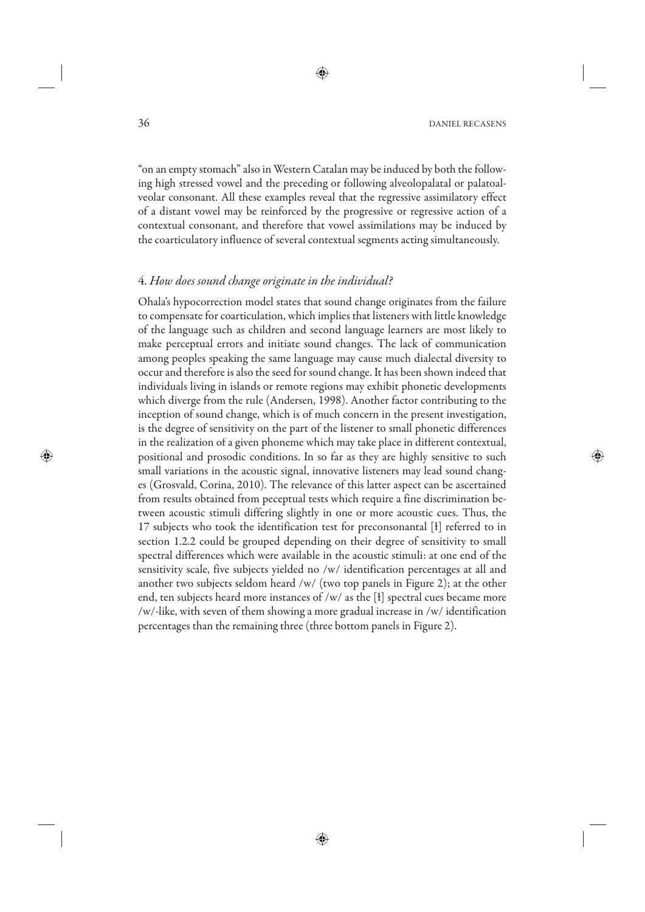36 DANIEL RECASENS

"on an empty stomach" also in Western Catalan may be induced by both the following high stressed vowel and the preceding or following alveolopalatal or palatoalveolar consonant. All these examples reveal that the regressive assimilatory effect of a distant vowel may be reinforced by the progressive or regressive action of a contextual consonant, and therefore that vowel assimilations may be induced by the coarticulatory influence of several contextual segments acting simultaneously.

# 4. *How does sound change originate in the individual?*

Ohala's hypocorrection model states that sound change originates from the failure to compensate for coarticulation, which implies that listeners with little knowledge of the language such as children and second language learners are most likely to make perceptual errors and initiate sound changes. The lack of communication among peoples speaking the same language may cause much dialectal diversity to occur and therefore is also the seed for sound change. It has been shown indeed that individuals living in islands or remote regions may exhibit phonetic developments which diverge from the rule (Andersen, 1998). Another factor contributing to the inception of sound change, which is of much concern in the present investigation, is the degree of sensitivity on the part of the listener to small phonetic differences in the realization of a given phoneme which may take place in different contextual, positional and prosodic conditions. In so far as they are highly sensitive to such small variations in the acoustic signal, innovative listeners may lead sound changes (Grosvald, Corina, 2010). The relevance of this latter aspect can be ascertained from results obtained from peceptual tests which require a fine discrimination between acoustic stimuli differing slightly in one or more acoustic cues. Thus, the 17 subjects who took the identification test for preconsonantal [ɫ] referred to in section 1.2.2 could be grouped depending on their degree of sensitivity to small spectral differences which were available in the acoustic stimuli: at one end of the sensitivity scale, five subjects yielded no /w/ identification percentages at all and another two subjects seldom heard /w/ (two top panels in Figure 2); at the other end, ten subjects heard more instances of /w/ as the  $\lceil \cdot \rceil$  spectral cues became more /w/-like, with seven of them showing a more gradual increase in /w/ identification percentages than the remaining three (three bottom panels in Figure 2).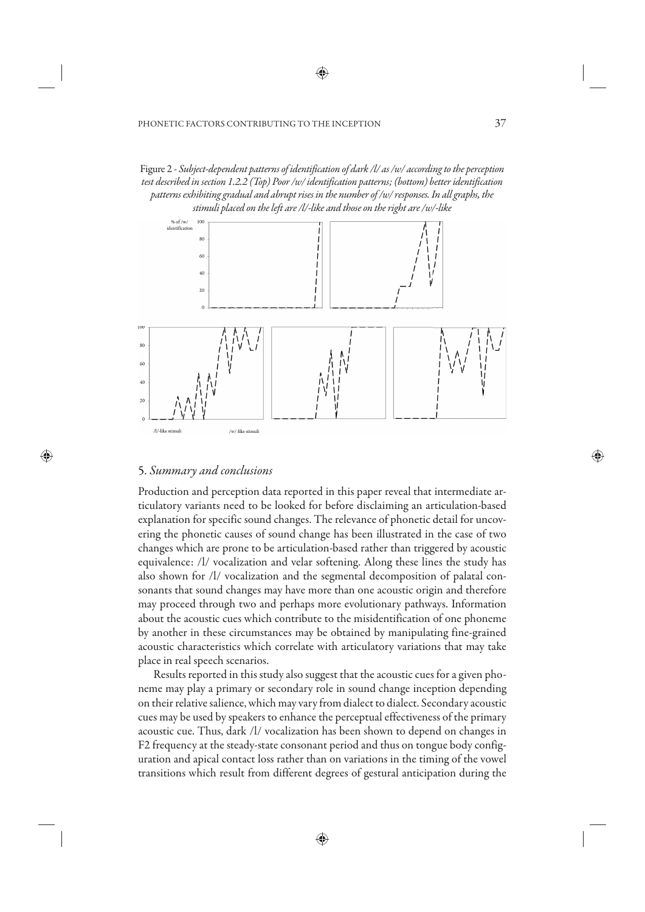Figure 2 - *Subject-dependent patterns of identification of dark /l/ as /w/ according to the perception test described in section 1.2.2 (Top) Poor /w/ identification patterns; (bottom) better identification patterns exhibitinggradual and abrupt rises in the number of /w/ responses. In all graphs, the stimuli placed on the left are /l/-like and those on the right are /w/-like*



# 5. *Summary and conclusions*

Production and perception data reported in this paper reveal that intermediate articulatory variants need to be looked for before disclaiming an articulation-based explanation for specific sound changes. The relevance of phonetic detail for uncovering the phonetic causes of sound change has been illustrated in the case of two changes which are prone to be articulation-based rather than triggered by acoustic equivalence: /l/ vocalization and velar softening. Along these lines the study has also shown for /l/ vocalization and the segmental decomposition of palatal consonants that sound changes may have more than one acoustic origin and therefore may proceed through two and perhaps more evolutionary pathways. Information about the acoustic cues which contribute to the misidentification of one phoneme by another in these circumstances may be obtained by manipulating fine-grained acoustic characteristics which correlate with articulatory variations that may take place in real speech scenarios.

Results reported in this study also suggest that the acoustic cues for a given phoneme may play a primary or secondary role in sound change inception depending on their relative salience, which may vary from dialect to dialect. Secondary acoustic cues may be used by speakers to enhance the perceptual effectiveness of the primary acoustic cue. Thus, dark /l/ vocalization has been shown to depend on changes in F2 frequency at the steady-state consonant period and thus on tongue body configuration and apical contact loss rather than on variations in the timing of the vowel transitions which result from different degrees of gestural anticipation during the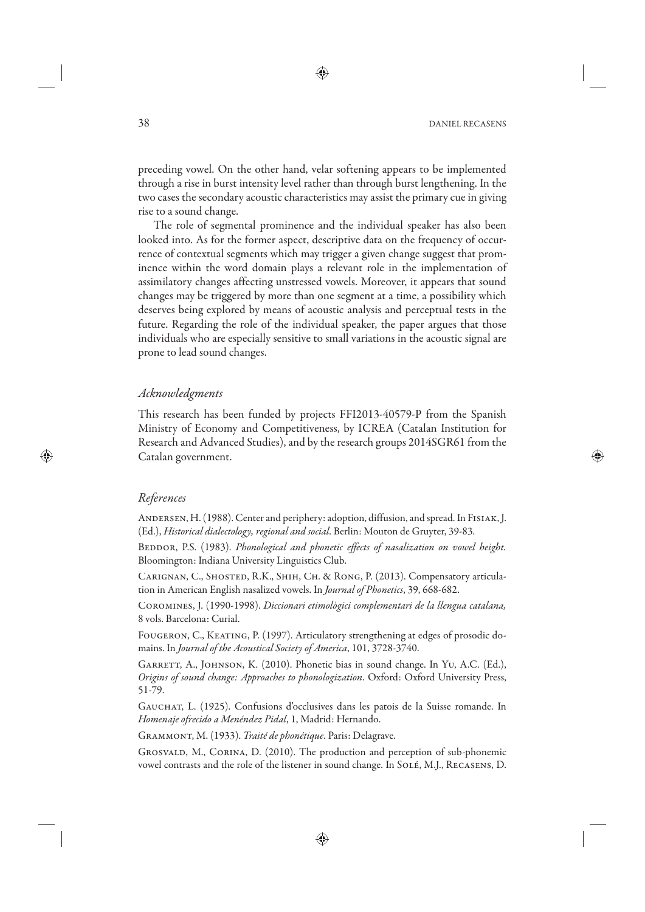38 DANIEL RECASENS

preceding vowel. On the other hand, velar softening appears to be implemented through a rise in burst intensity level rather than through burst lengthening. In the two cases the secondary acoustic characteristics may assist the primary cue in giving rise to a sound change.

The role of segmental prominence and the individual speaker has also been looked into. As for the former aspect, descriptive data on the frequency of occurrence of contextual segments which may trigger a given change suggest that prominence within the word domain plays a relevant role in the implementation of assimilatory changes affecting unstressed vowels. Moreover, it appears that sound changes may be triggered by more than one segment at a time, a possibility which deserves being explored by means of acoustic analysis and perceptual tests in the future. Regarding the role of the individual speaker, the paper argues that those individuals who are especially sensitive to small variations in the acoustic signal are prone to lead sound changes.

# *Acknowledgments*

This research has been funded by projects FFI2013-40579-P from the Spanish Ministry of Economy and Competitiveness, by ICREA (Catalan Institution for Research and Advanced Studies), and by the research groups 2014SGR61 from the Catalan government.

# *References*

ANDERSEN, H. (1988). Center and periphery: adoption, diffusion, and spread. In FISIAK, J. (Ed.), *Historical dialectology, regional and social*. Berlin: Mouton de Gruyter, 39-83.

BEDDOR, P.S. (1983). *Phonological and phonetic effects of nasalization on vowel height.* Bloomington: Indiana University Linguistics Club.

CARIGNAN, C., SHOSTED, R.K., SHIH, CH. & RONG, P. (2013). Compensatory articulation in American English nasalized vowels. In *Journal of Phonetics*, 39, 668-682.

Coromines, J. (1990-1998). *Diccionari etimològici complementari de la llengua catalana,* 8 vols. Barcelona: Curial.

Fougeron, C., Keating, P. (1997). Articulatory strengthening at edges of prosodic domains. In *Journal of the Acoustical Society of America*, 101, 3728-3740.

GARRETT, A., JOHNSON, K. (2010). Phonetic bias in sound change. In Yu, A.C. (Ed.), *Origins of sound change: Approaches to phonologization*. Oxford: Oxford University Press, 51-79.

Gauchat, L. (1925). Confusions d'occlusives dans les patois de la Suisse romande. In *Homenaje ofrecido a Menéndez Pidal*, 1, Madrid: Hernando.

Grammont, M. (1933). *Traité de phonétique*. Paris: Delagrave.

Grosvald, M., Corina, D. (2010). The production and perception of sub-phonemic vowel contrasts and the role of the listener in sound change. In Solé, M.J., Recasens, D.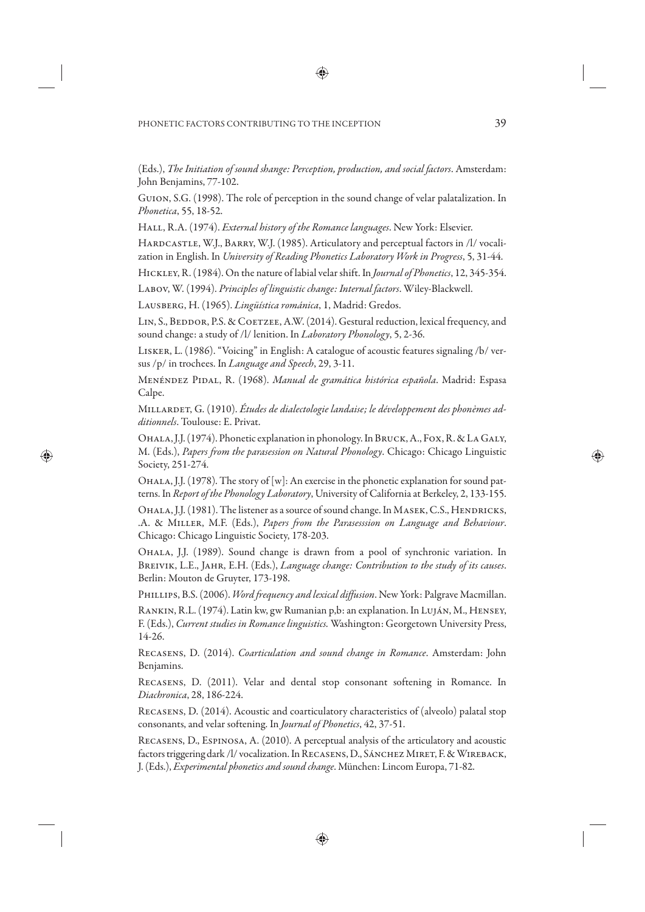(Eds.), *The Initiation of sound shange: Perception, production, and social factors*. Amsterdam: John Benjamins, 77-102.

Guion, S.G. (1998). The role of perception in the sound change of velar palatalization. In *Phonetica*, 55, 18-52.

Hall, R.A. (1974). *External history of the Romance languages*. New York: Elsevier.

HARDCASTLE, W.J., BARRY, W.J. (1985). Articulatory and perceptual factors in /l/ vocalization in English. In *University of Reading Phonetics Laboratory Work in Progress*, 5, 31-44.

Hickley, R. (1984). On the nature of labial velar shift. In *Journal of Phonetics*, 12, 345-354.

Labov, W. (1994). *Principles of linguistic change: Internal factors*. Wiley-Blackwell.

Lausberg, H. (1965). *Lingüística románica*, 1, Madrid: Gredos.

LIN, S., BEDDOR, P.S. & COETZEE, A.W. (2014). Gestural reduction, lexical frequency, and sound change: a study of /l/ lenition. In *Laboratory Phonology*, 5, 2-36.

Lisker, L. (1986). "Voicing" in English: A catalogue of acoustic features signaling /b/ versus /p/ in trochees. In *Language and Speech*, 29, 3-11.

Menéndez Pidal, R. (1968). *Manual de gramática histórica española*. Madrid: Espasa Calpe.

Millardet, G. (1910). *Études de dialectologie landaise; le développement des phonèmes additionnels*. Toulouse: E. Privat.

OHALA, J.J. (1974). Phonetic explanation in phonology. In BRUCK, A., FOX, R. & LA GALY, M. (Eds.), *Papers from the parasession on Natural Phonology*. Chicago: Chicago Linguistic Society, 251-274.

OHALA, J.J. (1978). The story of [w]: An exercise in the phonetic explanation for sound patterns. In *Report of the Phonology Laboratory*, University of California at Berkeley, 2, 133-155.

OHALA, J.J. (1981). The listener as a source of sound change. In MASEK, C.S., HENDRICKS, .A. & Miller, M.F. (Eds.), *Papers from the Parasesssion on Language and Behaviour*. Chicago: Chicago Linguistic Society, 178-203.

Ohala, J.J. (1989). Sound change is drawn from a pool of synchronic variation. In Breivik, L.E., Jahr, E.H. (Eds.), *Language change: Contribution to the study of its causes*. Berlin: Mouton de Gruyter, 173-198.

Phillips, B.S. (2006). *Word frequency and lexical diffusion*. New York: Palgrave Macmillan.

Rankin, R.L. (1974). Latin kw, gw Rumanian p,b: an explanation. In Luján, M., Hensey, F. (Eds.), *Current studies in Romance linguistics.* Washington: Georgetown University Press, 14-26.

Recasens, D. (2014). *Coarticulation and sound change in Romance*. Amsterdam: John Benjamins.

Recasens, D. (2011). Velar and dental stop consonant softening in Romance. In *Diachronica*, 28, 186-224.

Recasens, D. (2014). Acoustic and coarticulatory characteristics of (alveolo) palatal stop consonants, and velar softening. In *Journal of Phonetics*, 42, 37-51.

Recasens, D., Espinosa, A. (2010). A perceptual analysis of the articulatory and acoustic factors triggering dark /l/ vocalization. In RECASENS, D., SÁNCHEZ MIRET, F. & WIREBACK, J. (Eds.), *Experimental phonetics and sound change*. München: Lincom Europa, 71-82.